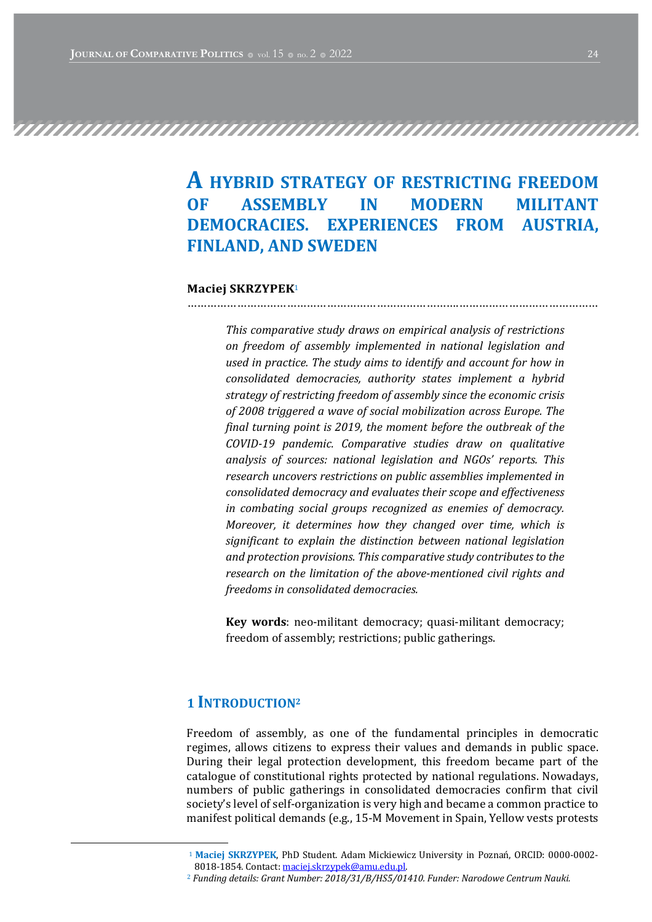# A HYBRID STRATEGY OF RESTRICTING FREEDOM OF ASSEMBLY IN MODERN MILITANT DEMOCRACIES. EXPERIENCES FROM AUSTRIA. **FINLAND, AND SWEDEN**

……………………………………………………………………….……………………………………

#### Maciej SKRZYPEK<sup>1</sup>

This comparative study draws on empirical analysis of restrictions on freedom of assembly implemented in national legislation and used in practice. The study aims to identify and account for how in consolidated democracies, authority states implement a hybrid strategy of restricting freedom of assembly since the economic crisis of 2008 triggered a wave of social mobilization across Europe. The final turning point is 2019, the moment before the outbreak of the COVID-19 pandemic. Comparative studies draw on qualitative analysis of sources: national legislation and NGOs' reports. This research uncovers restrictions on public assemblies implemented in consolidated democracy and evaluates their scope and effectiveness in combating social groups recognized as enemies of democracy. Moreover, it determines how they changed over time, which is significant to explain the distinction between national legislation and protection provisions. This comparative study contributes to the research on the limitation of the above-mentioned civil rights and freedoms in consolidated democracies.

Key words: neo-militant democracy; quasi-militant democracy; freedom of assembly; restrictions; public gatherings.

# 1 INTRODUCTION<sup>2</sup>

Freedom of assembly, as one of the fundamental principles in democratic regimes, allows citizens to express their values and demands in public space. During their legal protection development, this freedom became part of the catalogue of constitutional rights protected by national regulations. Nowadays, numbers of public gatherings in consolidated democracies confirm that civil society's level of self-organization is very high and became a common practice to manifest political demands (e.g., 15-M Movement in Spain, Yellow vests protests

<sup>&</sup>lt;sup>1</sup> Maciej SKRZYPEK, PhD Student. Adam Mickiewicz University in Poznań, ORCID: 0000-0002-8018-1854. Contact: maciej.skrzypek@amu.edu.pl.

 $2$  Funding details: Grant Number:  $2018/31/B/HS5/01410$ . Funder: Narodowe Centrum Nauki.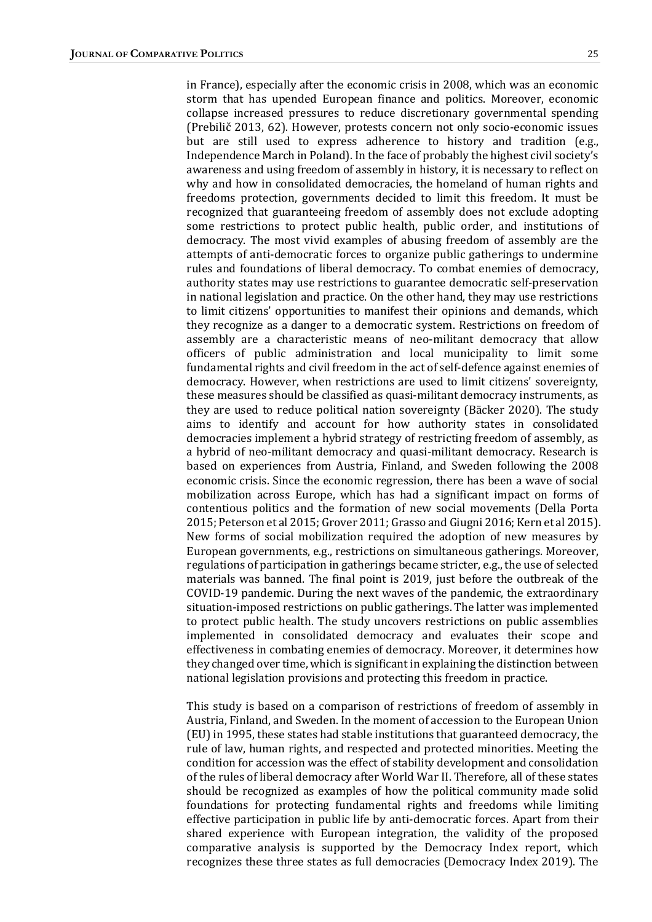in France), especially after the economic crisis in 2008, which was an economic storm that has upended European finance and politics. Moreover, economic collapse increased pressures to reduce discretionary governmental spending (Prebilič 2013, 62). However, protests concern not only socio-economic issues but are still used to express adherence to history and tradition (e.g., Independence March in Poland). In the face of probably the highest civil society's awareness and using freedom of assembly in history, it is necessary to reflect on why and how in consolidated democracies, the homeland of human rights and freedoms protection, governments decided to limit this freedom. It must be recognized that guaranteeing freedom of assembly does not exclude adopting some restrictions to protect public health, public order, and institutions of democracy. The most vivid examples of abusing freedom of assembly are the attempts of anti-democratic forces to organize public gatherings to undermine rules and foundations of liberal democracy. To combat enemies of democracy, authority states may use restrictions to guarantee democratic self-preservation in national legislation and practice. On the other hand, they may use restrictions to limit citizens' opportunities to manifest their opinions and demands, which they recognize as a danger to a democratic system. Restrictions on freedom of assembly are a characteristic means of neo-militant democracy that allow officers of public administration and local municipality to limit some fundamental rights and civil freedom in the act of self-defence against enemies of democracy. However, when restrictions are used to limit citizens' sovereignty, these measures should be classified as quasi-militant democracy instruments, as they are used to reduce political nation sovereignty (Bäcker 2020). The study aims to identify and account for how authority states in consolidated democracies implement a hybrid strategy of restricting freedom of assembly, as a hybrid of neo-militant democracy and quasi-militant democracy. Research is based on experiences from Austria, Finland, and Sweden following the 2008 economic crisis. Since the economic regression, there has been a wave of social mobilization across Europe, which has had a significant impact on forms of contentious politics and the formation of new social movements (Della Porta 2015; Peterson et al 2015; Grover 2011; Grasso and Giugni 2016; Kern et al 2015). New forms of social mobilization required the adoption of new measures by European governments, e.g., restrictions on simultaneous gatherings. Moreover, regulations of participation in gatherings became stricter, e.g., the use of selected materials was banned. The final point is 2019, just before the outbreak of the COVID-19 pandemic. During the next waves of the pandemic, the extraordinary situation-imposed restrictions on public gatherings. The latter was implemented to protect public health. The study uncovers restrictions on public assemblies implemented in consolidated democracy and evaluates their scope and effectiveness in combating enemies of democracy. Moreover, it determines how they changed over time, which is significant in explaining the distinction between

This study is based on a comparison of restrictions of freedom of assembly in Austria, Finland, and Sweden. In the moment of accession to the European Union (EU) in 1995, these states had stable institutions that guaranteed democracy, the rule of law, human rights, and respected and protected minorities. Meeting the condition for accession was the effect of stability development and consolidation of the rules of liberal democracy after World War II. Therefore, all of these states should be recognized as examples of how the political community made solid foundations for protecting fundamental rights and freedoms while limiting effective participation in public life by anti-democratic forces. Apart from their shared experience with European integration, the validity of the proposed comparative analysis is supported by the Democracy Index report, which recognizes these three states as full democracies (Democracy Index 2019). The

national legislation provisions and protecting this freedom in practice.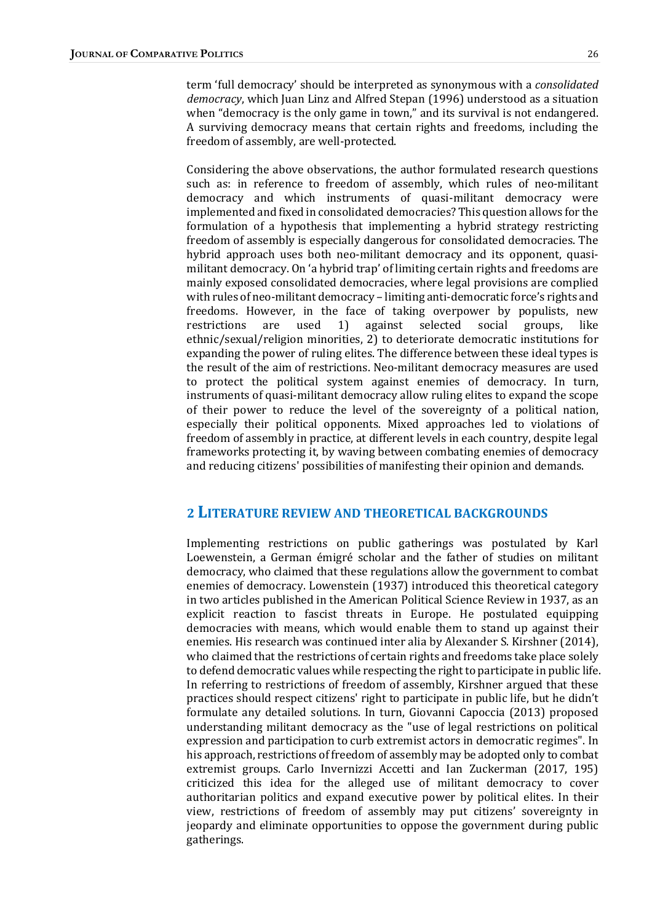term 'full democracy' should be interpreted as synonymous with a *consolidated* democracy, which Juan Linz and Alfred Stepan (1996) understood as a situation when "democracy is the only game in town," and its survival is not endangered. A surviving democracy means that certain rights and freedoms, including the freedom of assembly, are well-protected.

Considering the above observations, the author formulated research questions such as: in reference to freedom of assembly, which rules of neo-militant democracy and which instruments of quasi-militant democracy were implemented and fixed in consolidated democracies? This question allows for the formulation of a hypothesis that implementing a hybrid strategy restricting freedom of assembly is especially dangerous for consolidated democracies. The hybrid approach uses both neo-militant democracy and its opponent, quasimilitant democracy. On 'a hybrid trap' of limiting certain rights and freedoms are mainly exposed consolidated democracies, where legal provisions are complied with rules of neo-militant democracy – limiting anti-democratic force's rights and freedoms. However, in the face of taking overpower by populists, new restrictions are used 1) against selected social groups, like ethnic/sexual/religion minorities, 2) to deteriorate democratic institutions for expanding the power of ruling elites. The difference between these ideal types is the result of the aim of restrictions. Neo-militant democracy measures are used to protect the political system against enemies of democracy. In turn, instruments of quasi-militant democracy allow ruling elites to expand the scope of their power to reduce the level of the sovereignty of a political nation, especially their political opponents. Mixed approaches led to violations of freedom of assembly in practice, at different levels in each country, despite legal frameworks protecting it, by waving between combating enemies of democracy and reducing citizens' possibilities of manifesting their opinion and demands.

#### 2 LITERATURE REVIEW AND THEORETICAL BACKGROUNDS

Implementing restrictions on public gatherings was postulated by Karl Loewenstein, a German émigré scholar and the father of studies on militant democracy, who claimed that these regulations allow the government to combat enemies of democracy. Lowenstein (1937) introduced this theoretical category in two articles published in the American Political Science Review in 1937, as an explicit reaction to fascist threats in Europe. He postulated equipping democracies with means, which would enable them to stand up against their enemies. His research was continued inter alia by Alexander S. Kirshner (2014), who claimed that the restrictions of certain rights and freedoms take place solely to defend democratic values while respecting the right to participate in public life. In referring to restrictions of freedom of assembly, Kirshner argued that these practices should respect citizens' right to participate in public life, but he didn't formulate any detailed solutions. In turn, Giovanni Capoccia (2013) proposed understanding militant democracy as the "use of legal restrictions on political expression and participation to curb extremist actors in democratic regimes". In his approach, restrictions of freedom of assembly may be adopted only to combat extremist groups. Carlo Invernizzi Accetti and Ian Zuckerman (2017, 195) criticized this idea for the alleged use of militant democracy to cover authoritarian politics and expand executive power by political elites. In their view, restrictions of freedom of assembly may put citizens' sovereignty in jeopardy and eliminate opportunities to oppose the government during public gatherings.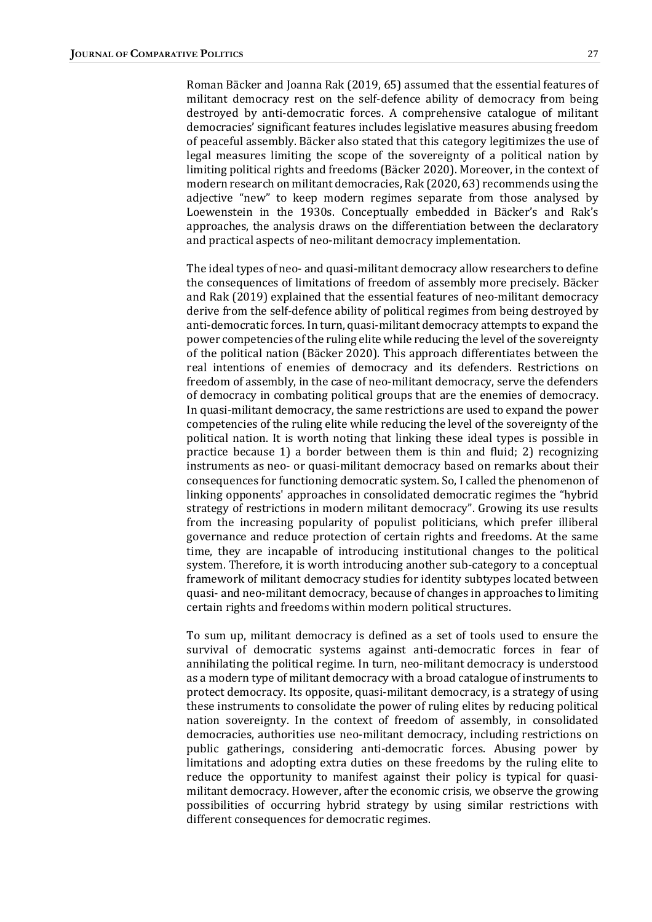Roman Bäcker and Joanna Rak (2019, 65) assumed that the essential features of militant democracy rest on the self-defence ability of democracy from being destroyed by anti-democratic forces. A comprehensive catalogue of militant democracies' significant features includes legislative measures abusing freedom of peaceful assembly. Bäcker also stated that this category legitimizes the use of legal measures limiting the scope of the sovereignty of a political nation by limiting political rights and freedoms (Bäcker 2020). Moreover, in the context of modern research on militant democracies, Rak (2020, 63) recommends using the adjective "new" to keep modern regimes separate from those analysed by Loewenstein in the 1930s. Conceptually embedded in Bäcker's and Rak's approaches, the analysis draws on the differentiation between the declaratory and practical aspects of neo-militant democracy implementation.

The ideal types of neo- and quasi-militant democracy allow researchers to define the consequences of limitations of freedom of assembly more precisely. Bäcker and Rak (2019) explained that the essential features of neo-militant democracy derive from the self-defence ability of political regimes from being destroyed by anti-democratic forces. In turn, quasi-militant democracy attempts to expand the power competencies of the ruling elite while reducing the level of the sovereignty of the political nation (Bäcker 2020). This approach differentiates between the real intentions of enemies of democracy and its defenders. Restrictions on freedom of assembly, in the case of neo-militant democracy, serve the defenders of democracy in combating political groups that are the enemies of democracy. In quasi-militant democracy, the same restrictions are used to expand the power competencies of the ruling elite while reducing the level of the sovereignty of the political nation. It is worth noting that linking these ideal types is possible in practice because 1) a border between them is thin and fluid; 2) recognizing instruments as neo- or quasi-militant democracy based on remarks about their consequences for functioning democratic system. So, I called the phenomenon of linking opponents' approaches in consolidated democratic regimes the "hybrid" strategy of restrictions in modern militant democracy". Growing its use results from the increasing popularity of populist politicians, which prefer illiberal governance and reduce protection of certain rights and freedoms. At the same time, they are incapable of introducing institutional changes to the political system. Therefore, it is worth introducing another sub-category to a conceptual framework of militant democracy studies for identity subtypes located between quasi- and neo-militant democracy, because of changes in approaches to limiting certain rights and freedoms within modern political structures.

To sum up, militant democracy is defined as a set of tools used to ensure the survival of democratic systems against anti-democratic forces in fear of annihilating the political regime. In turn, neo-militant democracy is understood as a modern type of militant democracy with a broad catalogue of instruments to protect democracy. Its opposite, quasi-militant democracy, is a strategy of using these instruments to consolidate the power of ruling elites by reducing political nation sovereignty. In the context of freedom of assembly, in consolidated democracies, authorities use neo-militant democracy, including restrictions on public gatherings, considering anti-democratic forces. Abusing power by limitations and adopting extra duties on these freedoms by the ruling elite to reduce the opportunity to manifest against their policy is typical for quasimilitant democracy. However, after the economic crisis, we observe the growing possibilities of occurring hybrid strategy by using similar restrictions with different consequences for democratic regimes.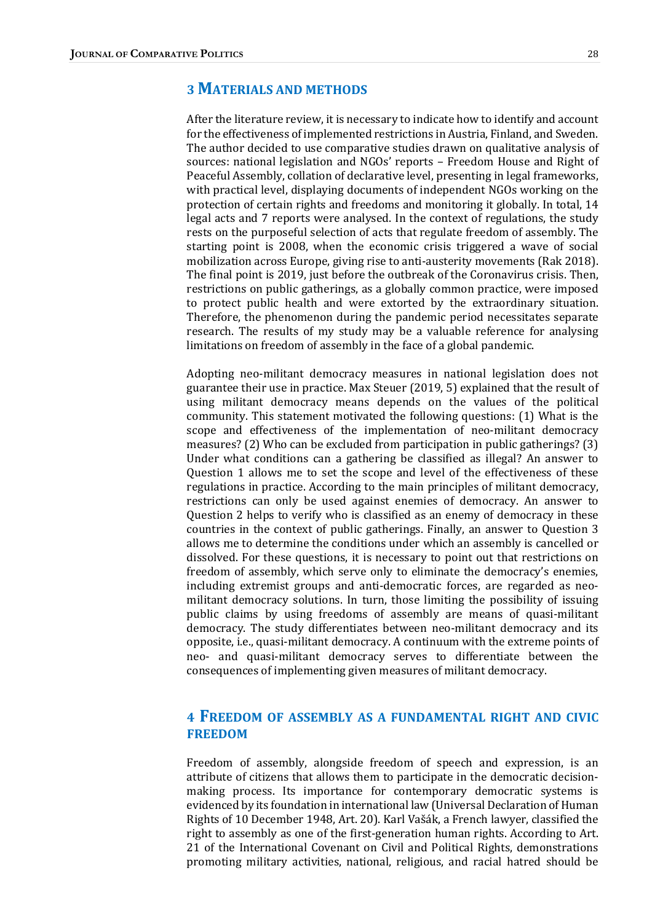# **3 MATERIALS AND METHODS**

After the literature review, it is necessary to indicate how to identify and account for the effectiveness of implemented restrictions in Austria, Finland, and Sweden. The author decided to use comparative studies drawn on qualitative analysis of sources: national legislation and NGOs' reports - Freedom House and Right of Peaceful Assembly, collation of declarative level, presenting in legal frameworks, with practical level, displaying documents of independent NGOs working on the protection of certain rights and freedoms and monitoring it globally. In total, 14 legal acts and 7 reports were analysed. In the context of regulations, the study rests on the purposeful selection of acts that regulate freedom of assembly. The starting point is 2008, when the economic crisis triggered a wave of social mobilization across Europe, giving rise to anti-austerity movements (Rak 2018). The final point is 2019, just before the outbreak of the Coronavirus crisis. Then, restrictions on public gatherings, as a globally common practice, were imposed to protect public health and were extorted by the extraordinary situation. Therefore, the phenomenon during the pandemic period necessitates separate research. The results of my study may be a valuable reference for analysing limitations on freedom of assembly in the face of a global pandemic.

Adopting neo-militant democracy measures in national legislation does not guarantee their use in practice. Max Steuer (2019, 5) explained that the result of using militant democracy means depends on the values of the political community. This statement motivated the following questions: (1) What is the scope and effectiveness of the implementation of neo-militant democracy measures? (2) Who can be excluded from participation in public gatherings? (3) Under what conditions can a gathering be classified as illegal? An answer to Question 1 allows me to set the scope and level of the effectiveness of these regulations in practice. According to the main principles of militant democracy, restrictions can only be used against enemies of democracy. An answer to Question 2 helps to verify who is classified as an enemy of democracy in these countries in the context of public gatherings. Finally, an answer to Question 3 allows me to determine the conditions under which an assembly is cancelled or dissolved. For these questions, it is necessary to point out that restrictions on freedom of assembly, which serve only to eliminate the democracy's enemies, including extremist groups and anti-democratic forces, are regarded as neomilitant democracy solutions. In turn, those limiting the possibility of issuing public claims by using freedoms of assembly are means of quasi-militant democracy. The study differentiates between neo-militant democracy and its opposite, i.e., quasi-militant democracy. A continuum with the extreme points of neo- and quasi-militant democracy serves to differentiate between the consequences of implementing given measures of militant democracy.

## 4 FREEDOM OF ASSEMBLY AS A FUNDAMENTAL RIGHT AND CIVIC FREEDOM

Freedom of assembly, alongside freedom of speech and expression, is an attribute of citizens that allows them to participate in the democratic decisionmaking process. Its importance for contemporary democratic systems is evidenced by its foundation in international law (Universal Declaration of Human Rights of 10 December 1948, Art. 20). Karl Vašák, a French lawyer, classified the right to assembly as one of the first-generation human rights. According to Art. 21 of the International Covenant on Civil and Political Rights, demonstrations promoting military activities, national, religious, and racial hatred should be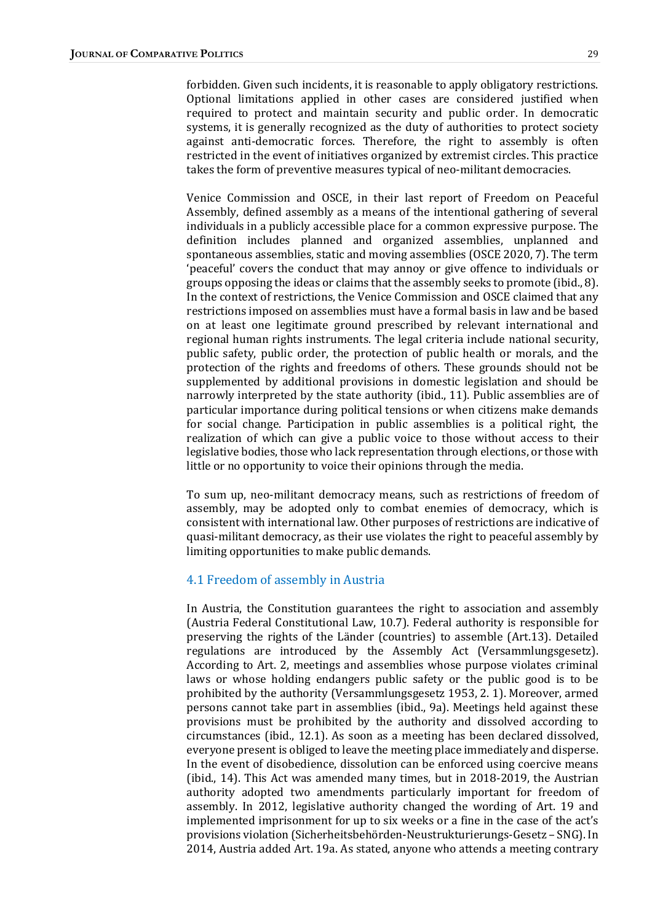forbidden. Given such incidents, it is reasonable to apply obligatory restrictions. Optional limitations applied in other cases are considered justified when required to protect and maintain security and public order. In democratic systems, it is generally recognized as the duty of authorities to protect society against anti-democratic forces. Therefore, the right to assembly is often restricted in the event of initiatives organized by extremist circles. This practice takes the form of preventive measures typical of neo-militant democracies.

Venice Commission and OSCE, in their last report of Freedom on Peaceful Assembly, defined assembly as a means of the intentional gathering of several individuals in a publicly accessible place for a common expressive purpose. The definition includes planned and organized assemblies, unplanned and spontaneous assemblies, static and moving assemblies (OSCE 2020, 7). The term 'peaceful' covers the conduct that may annoy or give offence to individuals or groups opposing the ideas or claims that the assembly seeks to promote  $(ibid., 8)$ . In the context of restrictions, the Venice Commission and OSCE claimed that any restrictions imposed on assemblies must have a formal basis in law and be based on at least one legitimate ground prescribed by relevant international and regional human rights instruments. The legal criteria include national security, public safety, public order, the protection of public health or morals, and the protection of the rights and freedoms of others. These grounds should not be supplemented by additional provisions in domestic legislation and should be narrowly interpreted by the state authority (ibid., 11). Public assemblies are of particular importance during political tensions or when citizens make demands for social change. Participation in public assemblies is a political right, the realization of which can give a public voice to those without access to their legislative bodies, those who lack representation through elections, or those with little or no opportunity to voice their opinions through the media.

To sum up, neo-militant democracy means, such as restrictions of freedom of assembly, may be adopted only to combat enemies of democracy, which is consistent with international law. Other purposes of restrictions are indicative of quasi-militant democracy, as their use violates the right to peaceful assembly by limiting opportunities to make public demands.

#### 4.1 Freedom of assembly in Austria

In Austria, the Constitution guarantees the right to association and assembly (Austria Federal Constitutional Law, 10.7). Federal authority is responsible for preserving the rights of the Länder (countries) to assemble (Art.13). Detailed regulations are introduced by the Assembly Act (Versammlungsgesetz). According to Art. 2, meetings and assemblies whose purpose violates criminal laws or whose holding endangers public safety or the public good is to be prohibited by the authority (Versammlungsgesetz 1953, 2. 1). Moreover, armed persons cannot take part in assemblies (ibid., 9a). Meetings held against these provisions must be prohibited by the authority and dissolved according to circumstances (ibid., 12.1). As soon as a meeting has been declared dissolved, everyone present is obliged to leave the meeting place immediately and disperse. In the event of disobedience, dissolution can be enforced using coercive means (ibid., 14). This Act was amended many times, but in 2018-2019, the Austrian authority adopted two amendments particularly important for freedom of assembly. In 2012, legislative authority changed the wording of Art. 19 and implemented imprisonment for up to six weeks or a fine in the case of the act's provisions violation (Sicherheitsbehörden-Neustrukturierungs-Gesetz – SNG). In 2014, Austria added Art. 19a. As stated, anyone who attends a meeting contrary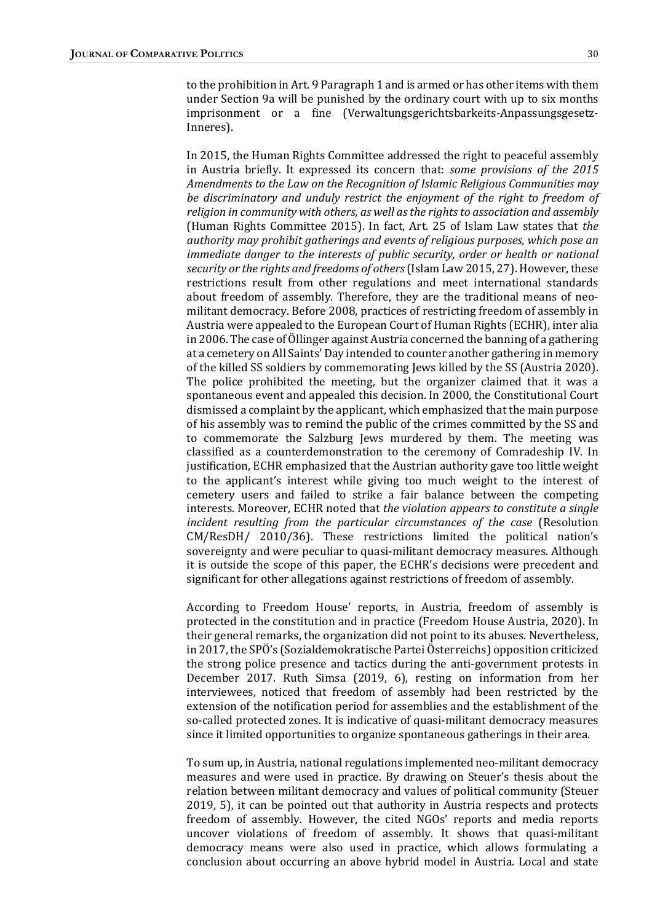to the prohibition in Art. 9 Paragraph 1 and is armed or has other items with them under Section 9a will be punished by the ordinary court with up to six months imprisonment or a fine (Verwaltungsgerichtsbarkeits-Anpassungsgesetz-Inneres).

In 2015, the Human Rights Committee addressed the right to peaceful assembly in Austria briefly. It expressed its concern that: *some provisions of the 2015* Amendments to the Law on the Recognition of Islamic Religious Communities may be discriminatory and unduly restrict the enjoyment of the right to freedom of religion in community with others, as well as the rights to association and assembly (Human Rights Committee 2015). In fact, Art. 25 of Islam Law states that the authority may prohibit gatherings and events of religious purposes, which pose an immediate danger to the interests of public security, order or health or national security or the rights and freedoms of others (Islam Law 2015, 27). However, these restrictions result from other regulations and meet international standards about freedom of assembly. Therefore, they are the traditional means of neomilitant democracy. Before 2008, practices of restricting freedom of assembly in Austria were appealed to the European Court of Human Rights (ECHR), inter alia in 2006. The case of Öllinger against Austria concerned the banning of a gathering at a cemetery on All Saints' Day intended to counter another gathering in memory of the killed SS soldiers by commemorating Jews killed by the SS (Austria 2020). The police prohibited the meeting, but the organizer claimed that it was a spontaneous event and appealed this decision. In 2000, the Constitutional Court dismissed a complaint by the applicant, which emphasized that the main purpose of his assembly was to remind the public of the crimes committed by the SS and to commemorate the Salzburg Jews murdered by them. The meeting was classified as a counterdemonstration to the ceremony of Comradeship IV. In justification, ECHR emphasized that the Austrian authority gave too little weight to the applicant's interest while giving too much weight to the interest of cemetery users and failed to strike a fair balance between the competing interests. Moreover, ECHR noted that the violation appears to constitute a single incident resulting from the particular circumstances of the case (Resolution  $CM/ResDH/$  2010/36). These restrictions limited the political nation's sovereignty and were peculiar to quasi-militant democracy measures. Although it is outside the scope of this paper, the ECHR's decisions were precedent and significant for other allegations against restrictions of freedom of assembly.

According to Freedom House' reports, in Austria, freedom of assembly is protected in the constitution and in practice (Freedom House Austria, 2020). In their general remarks, the organization did not point to its abuses. Nevertheless, in 2017, the SPO's (Sozialdemokratische Partei Österreichs) opposition criticized the strong police presence and tactics during the anti-government protests in December 2017. Ruth Simsa (2019, 6), resting on information from her interviewees, noticed that freedom of assembly had been restricted by the extension of the notification period for assemblies and the establishment of the so-called protected zones. It is indicative of quasi-militant democracy measures since it limited opportunities to organize spontaneous gatherings in their area.

To sum up, in Austria, national regulations implemented neo-militant democracy measures and were used in practice. By drawing on Steuer's thesis about the relation between militant democracy and values of political community (Steuer 2019, 5), it can be pointed out that authority in Austria respects and protects freedom of assembly. However, the cited NGOs' reports and media reports uncover violations of freedom of assembly. It shows that quasi-militant democracy means were also used in practice, which allows formulating a conclusion about occurring an above hybrid model in Austria. Local and state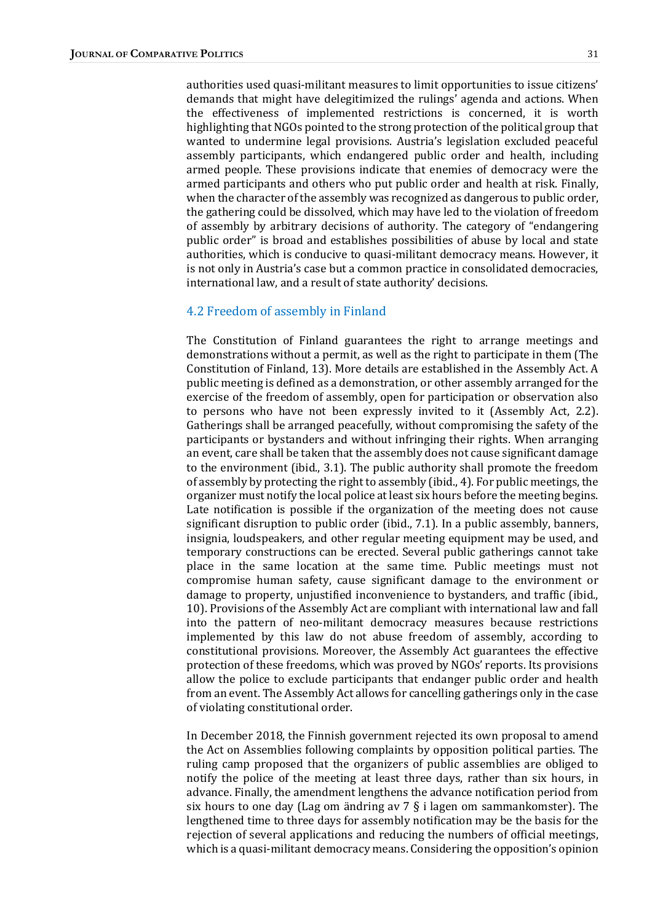authorities used quasi-militant measures to limit opportunities to issue citizens' demands that might have delegitimized the rulings' agenda and actions. When the effectiveness of implemented restrictions is concerned, it is worth highlighting that NGOs pointed to the strong protection of the political group that wanted to undermine legal provisions. Austria's legislation excluded peaceful assembly participants, which endangered public order and health, including armed people. These provisions indicate that enemies of democracy were the armed participants and others who put public order and health at risk. Finally, when the character of the assembly was recognized as dangerous to public order, the gathering could be dissolved, which may have led to the violation of freedom of assembly by arbitrary decisions of authority. The category of "endangering" public order" is broad and establishes possibilities of abuse by local and state authorities, which is conducive to quasi-militant democracy means. However, it is not only in Austria's case but a common practice in consolidated democracies, international law, and a result of state authority' decisions.

#### 4.2 Freedom of assembly in Finland

The Constitution of Finland guarantees the right to arrange meetings and demonstrations without a permit, as well as the right to participate in them (The Constitution of Finland, 13). More details are established in the Assembly Act. A public meeting is defined as a demonstration, or other assembly arranged for the exercise of the freedom of assembly, open for participation or observation also to persons who have not been expressly invited to it (Assembly Act, 2.2). Gatherings shall be arranged peacefully, without compromising the safety of the participants or bystanders and without infringing their rights. When arranging an event, care shall be taken that the assembly does not cause significant damage to the environment (ibid., 3.1). The public authority shall promote the freedom of assembly by protecting the right to assembly (ibid., 4). For public meetings, the organizer must notify the local police at least six hours before the meeting begins. Late notification is possible if the organization of the meeting does not cause significant disruption to public order (ibid.,  $7.1$ ). In a public assembly, banners, insignia, loudspeakers, and other regular meeting equipment may be used, and temporary constructions can be erected. Several public gatherings cannot take place in the same location at the same time. Public meetings must not compromise human safety, cause significant damage to the environment or damage to property, unjustified inconvenience to bystanders, and traffic (ibid., 10). Provisions of the Assembly Act are compliant with international law and fall into the pattern of neo-militant democracy measures because restrictions implemented by this law do not abuse freedom of assembly, according to constitutional provisions. Moreover, the Assembly Act guarantees the effective protection of these freedoms, which was proved by NGOs' reports. Its provisions allow the police to exclude participants that endanger public order and health from an event. The Assembly Act allows for cancelling gatherings only in the case of violating constitutional order.

In December 2018, the Finnish government rejected its own proposal to amend the Act on Assemblies following complaints by opposition political parties. The ruling camp proposed that the organizers of public assemblies are obliged to notify the police of the meeting at least three days, rather than six hours, in advance. Finally, the amendment lengthens the advance notification period from six hours to one day (Lag om ändring av  $7 \xi$  i lagen om sammankomster). The lengthened time to three days for assembly notification may be the basis for the rejection of several applications and reducing the numbers of official meetings, which is a quasi-militant democracy means. Considering the opposition's opinion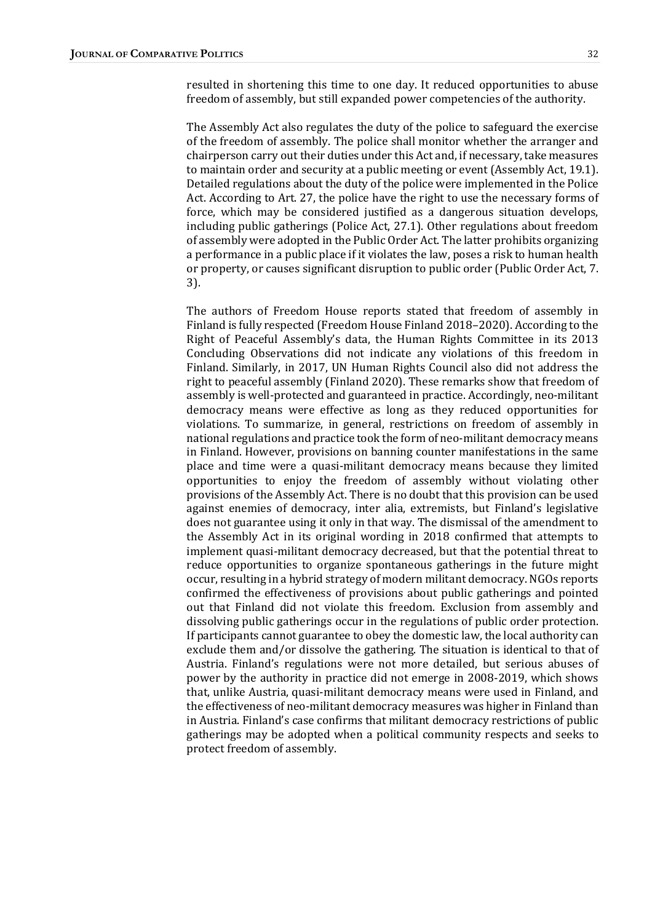resulted in shortening this time to one day. It reduced opportunities to abuse freedom of assembly, but still expanded power competencies of the authority.

The Assembly Act also regulates the duty of the police to safeguard the exercise of the freedom of assembly. The police shall monitor whether the arranger and chairperson carry out their duties under this Act and, if necessary, take measures to maintain order and security at a public meeting or event (Assembly Act, 19.1). Detailed regulations about the duty of the police were implemented in the Police Act. According to Art. 27, the police have the right to use the necessary forms of force, which may be considered justified as a dangerous situation develops, including public gatherings (Police Act, 27.1). Other regulations about freedom of assembly were adopted in the Public Order Act. The latter prohibits organizing a performance in a public place if it violates the law, poses a risk to human health or property, or causes significant disruption to public order (Public Order Act, 7. 3).

The authors of Freedom House reports stated that freedom of assembly in Finland is fully respected (Freedom House Finland 2018–2020). According to the Right of Peaceful Assembly's data, the Human Rights Committee in its 2013 Concluding Observations did not indicate any violations of this freedom in Finland. Similarly, in 2017, UN Human Rights Council also did not address the right to peaceful assembly (Finland 2020). These remarks show that freedom of assembly is well-protected and guaranteed in practice. Accordingly, neo-militant democracy means were effective as long as they reduced opportunities for violations. To summarize, in general, restrictions on freedom of assembly in national regulations and practice took the form of neo-militant democracy means in Finland. However, provisions on banning counter manifestations in the same place and time were a quasi-militant democracy means because they limited opportunities to enjoy the freedom of assembly without violating other provisions of the Assembly Act. There is no doubt that this provision can be used against enemies of democracy, inter alia, extremists, but Finland's legislative does not guarantee using it only in that way. The dismissal of the amendment to the Assembly Act in its original wording in 2018 confirmed that attempts to implement quasi-militant democracy decreased, but that the potential threat to reduce opportunities to organize spontaneous gatherings in the future might occur, resulting in a hybrid strategy of modern militant democracy. NGOs reports confirmed the effectiveness of provisions about public gatherings and pointed out that Finland did not violate this freedom. Exclusion from assembly and dissolving public gatherings occur in the regulations of public order protection. If participants cannot guarantee to obey the domestic law, the local authority can exclude them and/or dissolve the gathering. The situation is identical to that of Austria. Finland's regulations were not more detailed, but serious abuses of power by the authority in practice did not emerge in 2008-2019, which shows that, unlike Austria, quasi-militant democracy means were used in Finland, and the effectiveness of neo-militant democracy measures was higher in Finland than in Austria. Finland's case confirms that militant democracy restrictions of public gatherings may be adopted when a political community respects and seeks to protect freedom of assembly.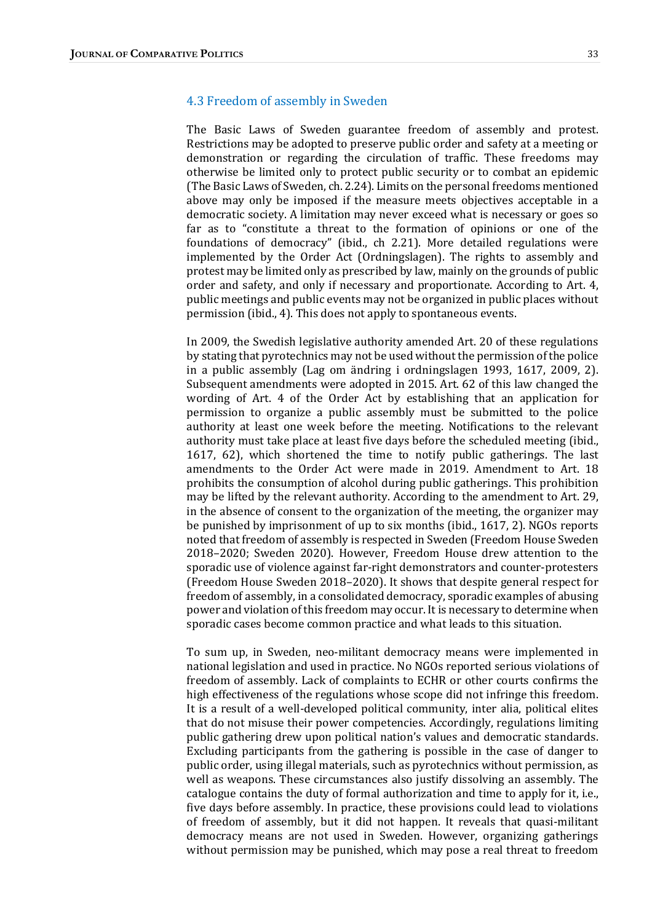#### 4.3 Freedom of assembly in Sweden

The Basic Laws of Sweden guarantee freedom of assembly and protest. Restrictions may be adopted to preserve public order and safety at a meeting or demonstration or regarding the circulation of traffic. These freedoms may otherwise be limited only to protect public security or to combat an epidemic (The Basic Laws of Sweden, ch. 2.24). Limits on the personal freedoms mentioned above may only be imposed if the measure meets objectives acceptable in a democratic society. A limitation may never exceed what is necessary or goes so far as to "constitute a threat to the formation of opinions or one of the foundations of democracy" (ibid., ch 2.21). More detailed regulations were implemented by the Order Act (Ordningslagen). The rights to assembly and protest may be limited only as prescribed by law, mainly on the grounds of public order and safety, and only if necessary and proportionate. According to Art. 4, public meetings and public events may not be organized in public places without permission (ibid., 4). This does not apply to spontaneous events.

In 2009, the Swedish legislative authority amended Art. 20 of these regulations by stating that pyrotechnics may not be used without the permission of the police in a public assembly (Lag om ändring i ordningslagen  $1993$ ,  $1617$ ,  $2009$ ,  $2$ ). Subsequent amendments were adopted in 2015. Art. 62 of this law changed the wording of Art. 4 of the Order Act by establishing that an application for permission to organize a public assembly must be submitted to the police authority at least one week before the meeting. Notifications to the relevant authority must take place at least five days before the scheduled meeting (ibid., 1617, 62), which shortened the time to notify public gatherings. The last amendments to the Order Act were made in 2019. Amendment to Art. 18 prohibits the consumption of alcohol during public gatherings. This prohibition may be lifted by the relevant authority. According to the amendment to Art. 29, in the absence of consent to the organization of the meeting, the organizer may be punished by imprisonment of up to six months (ibid., 1617, 2). NGOs reports noted that freedom of assembly is respected in Sweden (Freedom House Sweden 2018–2020; Sweden 2020). However, Freedom House drew attention to the sporadic use of violence against far-right demonstrators and counter-protesters (Freedom House Sweden 2018–2020). It shows that despite general respect for freedom of assembly, in a consolidated democracy, sporadic examples of abusing power and violation of this freedom may occur. It is necessary to determine when sporadic cases become common practice and what leads to this situation.

To sum up, in Sweden, neo-militant democracy means were implemented in national legislation and used in practice. No NGOs reported serious violations of freedom of assembly. Lack of complaints to ECHR or other courts confirms the high effectiveness of the regulations whose scope did not infringe this freedom. It is a result of a well-developed political community, inter alia, political elites that do not misuse their power competencies. Accordingly, regulations limiting public gathering drew upon political nation's values and democratic standards. Excluding participants from the gathering is possible in the case of danger to public order, using illegal materials, such as pyrotechnics without permission, as well as weapons. These circumstances also justify dissolving an assembly. The catalogue contains the duty of formal authorization and time to apply for it, i.e., five days before assembly. In practice, these provisions could lead to violations of freedom of assembly, but it did not happen. It reveals that quasi-militant democracy means are not used in Sweden. However, organizing gatherings without permission may be punished, which may pose a real threat to freedom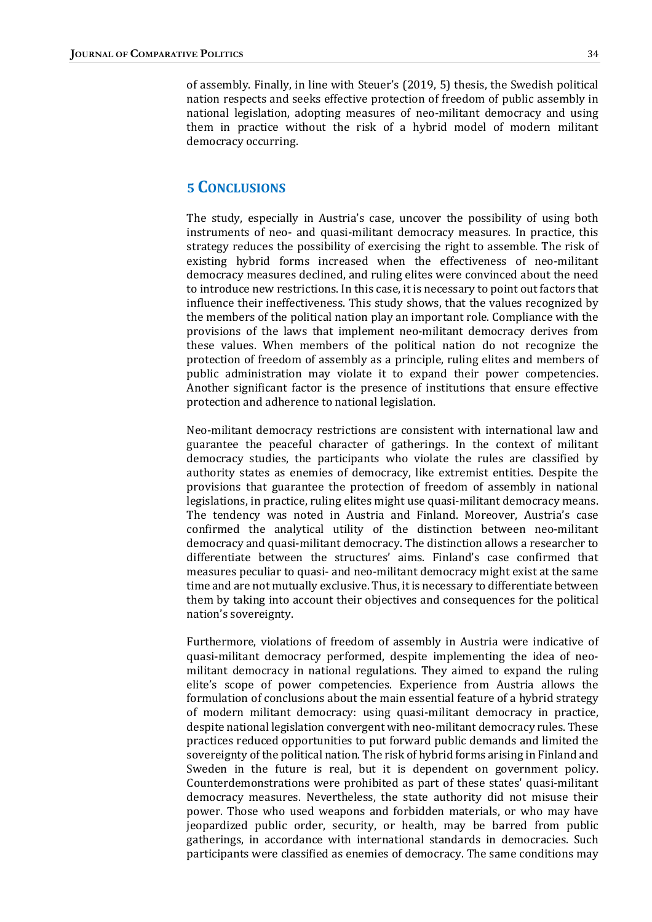of assembly. Finally, in line with Steuer's (2019, 5) thesis, the Swedish political nation respects and seeks effective protection of freedom of public assembly in national legislation, adopting measures of neo-militant democracy and using them in practice without the risk of a hybrid model of modern militant democracy occurring.

### 5 CONCLUSIONS

The study, especially in Austria's case, uncover the possibility of using both instruments of neo- and quasi-militant democracy measures. In practice, this strategy reduces the possibility of exercising the right to assemble. The risk of existing hybrid forms increased when the effectiveness of neo-militant democracy measures declined, and ruling elites were convinced about the need to introduce new restrictions. In this case, it is necessary to point out factors that influence their ineffectiveness. This study shows, that the values recognized by the members of the political nation play an important role. Compliance with the provisions of the laws that implement neo-militant democracy derives from these values. When members of the political nation do not recognize the protection of freedom of assembly as a principle, ruling elites and members of public administration may violate it to expand their power competencies. Another significant factor is the presence of institutions that ensure effective protection and adherence to national legislation.

Neo-militant democracy restrictions are consistent with international law and guarantee the peaceful character of gatherings. In the context of militant democracy studies, the participants who violate the rules are classified by authority states as enemies of democracy, like extremist entities. Despite the provisions that guarantee the protection of freedom of assembly in national legislations, in practice, ruling elites might use quasi-militant democracy means. The tendency was noted in Austria and Finland. Moreover, Austria's case confirmed the analytical utility of the distinction between neo-militant democracy and quasi-militant democracy. The distinction allows a researcher to differentiate between the structures' aims. Finland's case confirmed that measures peculiar to quasi- and neo-militant democracy might exist at the same time and are not mutually exclusive. Thus, it is necessary to differentiate between them by taking into account their objectives and consequences for the political nation's sovereignty.

Furthermore, violations of freedom of assembly in Austria were indicative of quasi-militant democracy performed, despite implementing the idea of neomilitant democracy in national regulations. They aimed to expand the ruling elite's scope of power competencies. Experience from Austria allows the formulation of conclusions about the main essential feature of a hybrid strategy of modern militant democracy: using quasi-militant democracy in practice, despite national legislation convergent with neo-militant democracy rules. These practices reduced opportunities to put forward public demands and limited the sovereignty of the political nation. The risk of hybrid forms arising in Finland and Sweden in the future is real, but it is dependent on government policy. Counterdemonstrations were prohibited as part of these states' quasi-militant democracy measures. Nevertheless, the state authority did not misuse their power. Those who used weapons and forbidden materials, or who may have jeopardized public order, security, or health, may be barred from public gatherings, in accordance with international standards in democracies. Such participants were classified as enemies of democracy. The same conditions may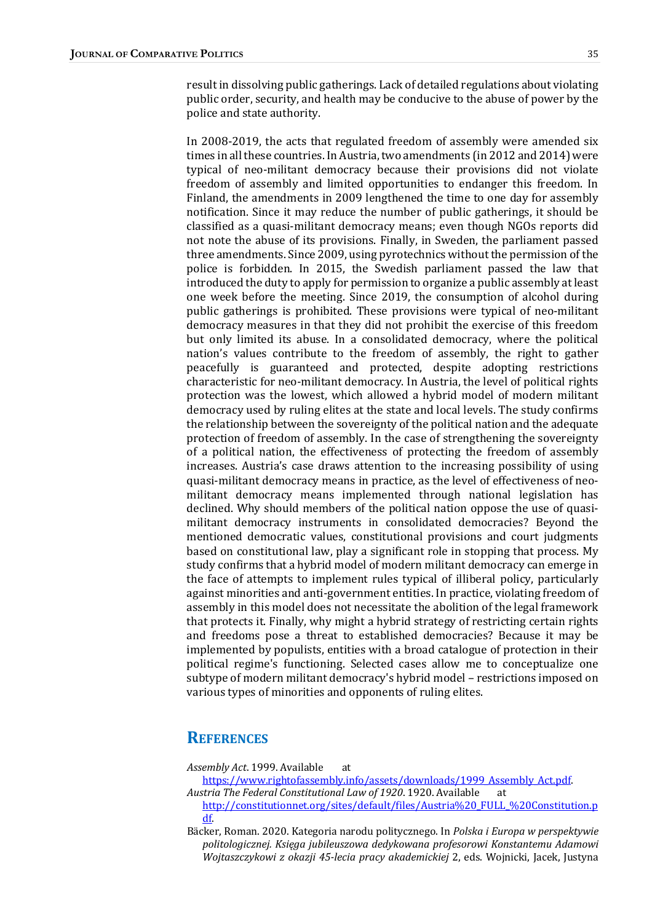result in dissolving public gatherings. Lack of detailed regulations about violating public order, security, and health may be conducive to the abuse of power by the police and state authority.

In 2008-2019, the acts that regulated freedom of assembly were amended six times in all these countries. In Austria, two amendments (in 2012 and 2014) were typical of neo-militant democracy because their provisions did not violate freedom of assembly and limited opportunities to endanger this freedom. In Finland, the amendments in 2009 lengthened the time to one day for assembly notification. Since it may reduce the number of public gatherings, it should be classified as a quasi-militant democracy means; even though NGOs reports did not note the abuse of its provisions. Finally, in Sweden, the parliament passed three amendments. Since 2009, using pyrotechnics without the permission of the police is forbidden. In 2015, the Swedish parliament passed the law that introduced the duty to apply for permission to organize a public assembly at least one week before the meeting. Since 2019, the consumption of alcohol during public gatherings is prohibited. These provisions were typical of neo-militant democracy measures in that they did not prohibit the exercise of this freedom but only limited its abuse. In a consolidated democracy, where the political nation's values contribute to the freedom of assembly, the right to gather peacefully is guaranteed and protected, despite adopting restrictions characteristic for neo-militant democracy. In Austria, the level of political rights protection was the lowest, which allowed a hybrid model of modern militant democracy used by ruling elites at the state and local levels. The study confirms the relationship between the sovereignty of the political nation and the adequate protection of freedom of assembly. In the case of strengthening the sovereignty of a political nation, the effectiveness of protecting the freedom of assembly increases. Austria's case draws attention to the increasing possibility of using quasi-militant democracy means in practice, as the level of effectiveness of neomilitant democracy means implemented through national legislation has declined. Why should members of the political nation oppose the use of quasimilitant democracy instruments in consolidated democracies? Beyond the mentioned democratic values, constitutional provisions and court judgments based on constitutional law, play a significant role in stopping that process. My study confirms that a hybrid model of modern militant democracy can emerge in the face of attempts to implement rules typical of illiberal policy, particularly against minorities and anti-government entities. In practice, violating freedom of assembly in this model does not necessitate the abolition of the legal framework that protects it. Finally, why might a hybrid strategy of restricting certain rights and freedoms pose a threat to established democracies? Because it may be implemented by populists, entities with a broad catalogue of protection in their political regime's functioning. Selected cases allow me to conceptualize one subtype of modern militant democracy's hybrid model – restrictions imposed on various types of minorities and opponents of ruling elites.

### **REFERENCES**

Assembly Act. 1999. Available at

- https://www.rightofassembly.info/assets/downloads/1999\_Assembly\_Act.pdf. Austria The Federal Constitutional Law of 1920. 1920. Available at
- http://constitutionnet.org/sites/default/files/Austria%20\_FULL\_%20Constitution.p df.
- Bäcker, Roman. 2020. Kategoria narodu politycznego. In Polska i Europa w perspektywie politologicznej. Księga jubileuszowa dedykowana profesorowi Konstantemu Adamowi Wojtaszczykowi z okazji 45-lecia pracy akademickiej 2, eds. Wojnicki, Jacek, Justyna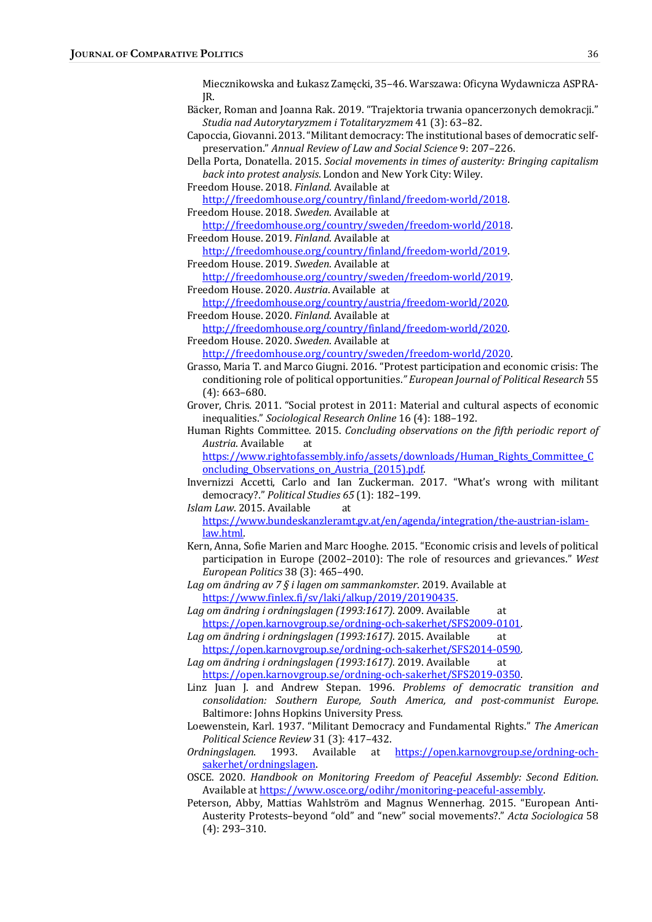Miecznikowska and Łukasz Zamęcki, 35-46. Warszawa: Oficyna Wydawnicza ASPRA-JR.

- Bäcker, Roman and Joanna Rak. 2019. "Trajektoria trwania opancerzonych demokracji." Studia nad Autorytaryzmem i Totalitaryzmem 41 (3): 63-82.
- Capoccia, Giovanni. 2013. "Militant democracy: The institutional bases of democratic selfpreservation." Annual Review of Law and Social Science 9: 207-226.
- Della Porta, Donatella. 2015. Social movements in times of austerity: Bringing capitalism back into protest analysis. London and New York City: Wiley.

Freedom House. 2018. Finland. Available at http://freedomhouse.org/country/finland/freedom-world/2018.

Freedom House. 2018. Sweden. Available at 

http://freedomhouse.org/country/sweden/freedom-world/2018. Freedom House. 2019. Finland. Available at

http://freedomhouse.org/country/finland/freedom-world/2019. Freedom House. 2019. Sweden. Available at

http://freedomhouse.org/country/sweden/freedom-world/2019. Freedom House. 2020. Austria. Available at

http://freedomhouse.org/country/austria/freedom-world/2020. Freedom House. 2020. Finland. Available at

http://freedomhouse.org/country/finland/freedom-world/2020. Freedom House. 2020. Sweden. Available at

http://freedomhouse.org/country/sweden/freedom-world/2020.

- Grasso, Maria T. and Marco Giugni. 2016. "Protest participation and economic crisis: The conditioning role of political opportunities." European Journal of Political Research 55  $(4): 663-680.$
- Grover, Chris. 2011. "Social protest in 2011: Material and cultural aspects of economic inequalities." Sociological Research Online 16 (4): 188-192.
- Human Rights Committee. 2015. Concluding observations on the fifth periodic report of Austria. Available at

https://www.rightofassembly.info/assets/downloads/Human\_Rights\_Committee\_C oncluding\_Observations\_on\_Austria\_(2015).pdf. 

Invernizzi Accetti, Carlo and Ian Zuckerman. 2017. "What's wrong with militant democracy?." Political Studies 65 (1): 182-199.

Islam Law. 2015. Available at

https://www.bundeskanzleramt.gv.at/en/agenda/integration/the-austrian-islamlaw.html. 

Kern, Anna, Sofie Marien and Marc Hooghe. 2015. "Economic crisis and levels of political participation in Europe (2002–2010): The role of resources and grievances." West European Politics 38 (3): 465-490.

Lag om ändring av 7 $\S$  i lagen om sammankomster. 2019. Available at https://www.finlex.fi/sv/laki/alkup/2019/20190435. 

Lag om ändring i ordningslagen (1993:1617). 2009. Available at https://open.karnovgroup.se/ordning-och-sakerhet/SFS2009-0101. 

Lag om ändring i ordningslagen (1993:1617). 2015. Available at https://open.karnovgroup.se/ordning-och-sakerhet/SFS2014-0590. 

Lag om ändring i ordningslagen (1993:1617). 2019. Available at https://open.karnovgroup.se/ordning-och-sakerhet/SFS2019-0350. 

- Linz Juan J. and Andrew Stepan. 1996. Problems of democratic transition and consolidation: Southern Europe, South America, and post-communist Europe. Baltimore: Johns Hopkins University Press.
- Loewenstein, Karl. 1937. "Militant Democracy and Fundamental Rights." The American Political Science Review 31 (3): 417-432.

Ordningslagen. 1993. Available at https://open.karnovgroup.se/ordning-ochsakerhet/ordningslagen. 

- OSCE. 2020. Handbook on Monitoring Freedom of Peaceful Assembly: Second Edition. Available at https://www.osce.org/odihr/monitoring-peaceful-assembly.
- Peterson, Abby, Mattias Wahlström and Magnus Wennerhag. 2015. "European Anti-Austerity Protests-beyond "old" and "new" social movements?." Acta Sociologica 58  $(4): 293 - 310.$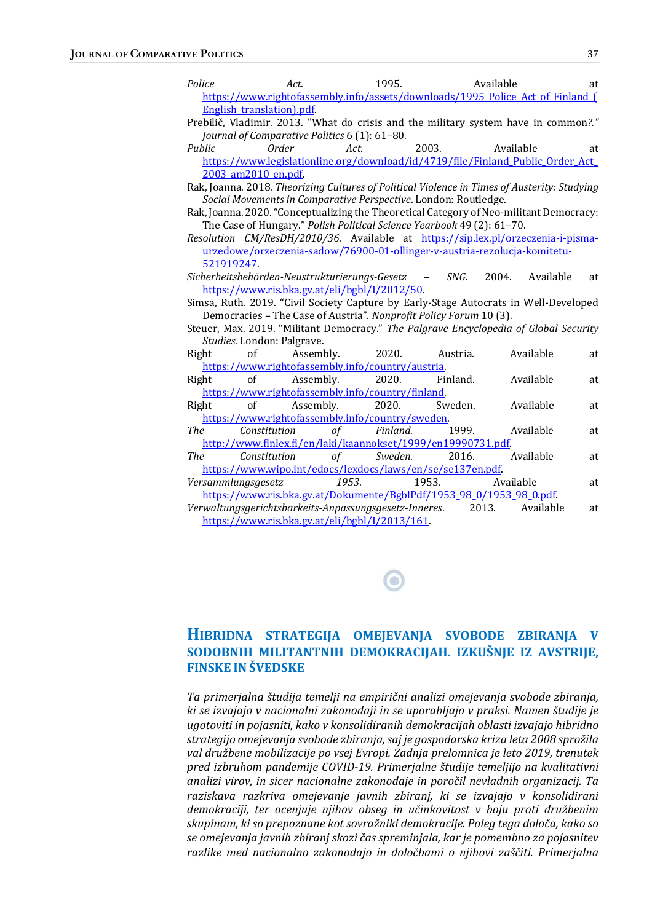| Police                                                                                       | Act.                            | 1995.                                                                |          | Available                                                                        | at |
|----------------------------------------------------------------------------------------------|---------------------------------|----------------------------------------------------------------------|----------|----------------------------------------------------------------------------------|----|
| https://www.rightofassembly.info/assets/downloads/1995 Police Act of Finland [               |                                 |                                                                      |          |                                                                                  |    |
|                                                                                              | <b>English translation).pdf</b> |                                                                      |          |                                                                                  |    |
| Prebilič, Vladimir. 2013. "What do crisis and the military system have in common?."          |                                 |                                                                      |          |                                                                                  |    |
| Journal of Comparative Politics 6 (1): 61-80.                                                |                                 |                                                                      |          |                                                                                  |    |
| Public                                                                                       | Order                           | Act.                                                                 | 2003.    | Available                                                                        | at |
|                                                                                              |                                 |                                                                      |          | https://www.legislationline.org/download/id/4719/file/Finland Public Order Act   |    |
| 2003 am2010 en.pdf                                                                           |                                 |                                                                      |          |                                                                                  |    |
| Rak, Joanna. 2018. Theorizing Cultures of Political Violence in Times of Austerity: Studying |                                 |                                                                      |          |                                                                                  |    |
| Social Movements in Comparative Perspective. London: Routledge.                              |                                 |                                                                      |          |                                                                                  |    |
| Rak, Joanna. 2020. "Conceptualizing the Theoretical Category of Neo-militant Democracy:      |                                 |                                                                      |          |                                                                                  |    |
| The Case of Hungary." Polish Political Science Yearbook 49 (2): 61-70.                       |                                 |                                                                      |          |                                                                                  |    |
|                                                                                              |                                 |                                                                      |          | Resolution CM/ResDH/2010/36. Available at https://sip.lex.pl/orzeczenia-i-pisma- |    |
|                                                                                              |                                 |                                                                      |          | urzedowe/orzeczenia-sadow/76900-01-ollinger-v-austria-rezolucja-komitetu-        |    |
| 521919247                                                                                    |                                 |                                                                      |          |                                                                                  |    |
|                                                                                              |                                 | Sicherheitsbehörden-Neustrukturierungs-Gesetz                        | SNG.     | Available<br>2004.                                                               | at |
| https://www.ris.bka.gv.at/eli/bgbl/I/2012/50                                                 |                                 |                                                                      |          |                                                                                  |    |
| Simsa, Ruth. 2019. "Civil Society Capture by Early-Stage Autocrats in Well-Developed         |                                 |                                                                      |          |                                                                                  |    |
| Democracies - The Case of Austria". Nonprofit Policy Forum 10 (3).                           |                                 |                                                                      |          |                                                                                  |    |
| Steuer, Max. 2019. "Militant Democracy." The Palgrave Encyclopedia of Global Security        |                                 |                                                                      |          |                                                                                  |    |
|                                                                                              | Studies. London: Palgrave.      |                                                                      |          |                                                                                  |    |
| Right                                                                                        | of<br>Assembly.                 | 2020.                                                                | Austria. | Available                                                                        | at |
| https://www.rightofassembly.info/country/austria.                                            |                                 |                                                                      |          |                                                                                  |    |
| Right                                                                                        | of<br>Assembly.                 | 2020.                                                                | Finland. | Available                                                                        | at |
|                                                                                              |                                 | https://www.rightofassembly.info/country/finland.                    |          |                                                                                  |    |
| Right                                                                                        | of<br>Assembly.                 | 2020.                                                                | Sweden.  | Available                                                                        | at |
|                                                                                              |                                 | https://www.rightofassembly.info/country/sweden.                     |          |                                                                                  |    |
| The                                                                                          | Constitution                    | Finland.<br>of                                                       | 1999.    | Available                                                                        | at |
|                                                                                              |                                 | http://www.finlex.fi/en/laki/kaannokset/1999/en19990731.pdf          |          |                                                                                  |    |
| The                                                                                          | Constitution                    | $\sigma f$<br>Sweden.                                                | 2016.    | Available                                                                        | at |
|                                                                                              |                                 | https://www.wipo.int/edocs/lexdocs/laws/en/se/se137en.pdf            |          |                                                                                  |    |
| Versammlungsgesetz                                                                           |                                 | 1953.                                                                | 1953.    | Available                                                                        | at |
|                                                                                              |                                 | https://www.ris.bka.gv.at/Dokumente/BgblPdf/1953_98_0/1953_98_0.pdf. |          |                                                                                  |    |
|                                                                                              |                                 | Verwaltungsgerichtsbarkeits-Anpassungsgesetz-Inneres.                |          | 2013.<br>Available                                                               | at |
| https://www.ris.bka.gv.at/eli/bgbl/I/2013/161.                                               |                                 |                                                                      |          |                                                                                  |    |
|                                                                                              |                                 |                                                                      |          |                                                                                  |    |
|                                                                                              |                                 |                                                                      |          |                                                                                  |    |

### HIBRIDNA STRATEGIJA OMEJEVANJA SVOBODE ZBIRANJA V SODOBNIH MILITANTNIH DEMOKRACIJAH. IZKUŠNJE IZ AVSTRIJE, FINSKE IN ŠVEDSKE

 $\bullet$ 

Ta primerjalna študija temelji na empirični analizi omejevanja svobode zbiranja, ki se izvajajo v nacionalni zakonodaji in se uporabljajo v praksi. Namen študije je ugotoviti in pojasniti, kako v konsolidiranih demokracijah oblasti izvajajo hibridno strategijo omejevanja svobode zbiranja, saj je gospodarska kriza leta 2008 sprožila val družbene mobilizacije po vsej Evropi. Zadnja prelomnica je leto 2019, trenutek pred izbruhom pandemije COVID-19. Primerjalne študije temeljijo na kvalitativni analizi virov, in sicer nacionalne zakonodaje in poročil nevladnih organizacij. Ta raziskava razkriva omejevanje javnih zbiranj, ki se izvajajo v konsolidirani demokraciji, ter ocenjuje njihov obseg in učinkovitost v boju proti družbenim skupinam, ki so prepoznane kot sovražniki demokracije. Poleg tega določa, kako so se omejevanja javnih zbiranj skozi čas spreminjala, kar je pomembno za pojasnitev razlike med nacionalno zakonodajo in določbami o njihovi zaščiti. Primerjalna